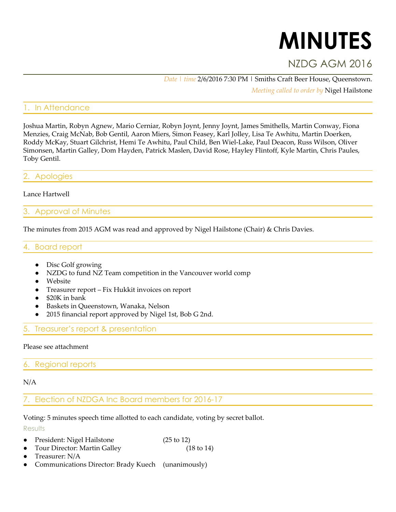# **MINUTES**

# NZDG AGM 2016

*Date | time* 2/6/2016 7:30 PM | Smiths Craft Beer House, Queenstown.

*Meeting called to order by* Nigel Hailstone

# In Attendance

Joshua Martin, Robyn Agnew, Mario Cerniar, Robyn Joynt, Jenny Joynt, James Smithells, Martin Conway, Fiona Menzies, Craig McNab, Bob Gentil, Aaron Miers, Simon Feasey, Karl Jolley, Lisa Te Awhitu, Martin Doerken, Roddy McKay, Stuart Gilchrist, Hemi Te Awhitu, Paul Child, Ben Wiel-Lake, Paul Deacon, Russ Wilson, Oliver Simonsen, Martin Galley, Dom Hayden, Patrick Maslen, David Rose, Hayley Flintoff, Kyle Martin, Chris Paules, Toby Gentil.

#### **Apologies**

#### Lance Hartwell

#### 3. Approval of Minutes

The minutes from 2015 AGM was read and approved by Nigel Hailstone (Chair) & Chris Davies.

#### 4. Board report

- Disc Golf growing
- NZDG to fund NZ Team competition in the Vancouver world comp
- Website
- Treasurer report Fix Hukkit invoices on report
- \$20K in bank
- Baskets in Queenstown, Wanaka, Nelson
- 2015 financial report approved by Nigel 1st, Bob G 2nd.

## 5. Treasurer's report & presentation

#### Please see attachment

#### 6. Regional reports

#### N/A

## 7. Election of NZDGA Inc Board members for 2016-17

Voting: 5 minutes speech time allotted to each candidate, voting by secret ballot.

**Results** 

- President: Nigel Hailstone (25 to 12)
- Tour Director: Martin Galley (18 to 14)
- Treasurer: N/A
- Communications Director: Brady Kuech (unanimously)